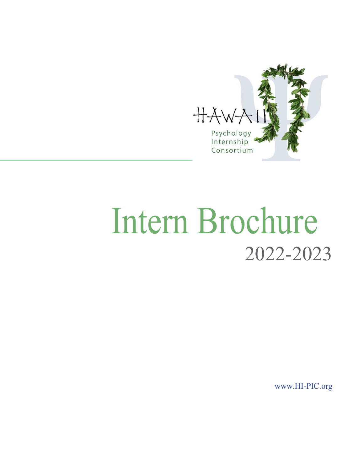

# Intern Brochure 2022-2023

[www.HI-PIC.org](http://www.hi-pic.org/)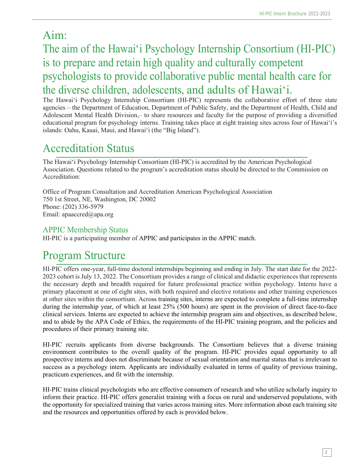# Aim:

# The aim of the Hawai'i Psychology Internship Consortium (HI-PIC) is to prepare and retain high quality and culturally competent psychologists to provide collaborative public mental health care for the diverse children, adolescents, and adults of Hawai'i.

The Hawai'i Psychology Internship Consortium (HI-PIC) represents the collaborative effort of three state agencies – the Department of Education, Department of Public Safety, and the Department of Health, Child and Adolescent Mental Health Division,– to share resources and faculty for the purpose of providing a diversified educational program for psychology interns. Training takes place at eight training sites across four of Hawai'i's islands: Oahu, Kauai, Maui, and Hawai'i (the "Big Island").

# Accreditation Status

The Hawai'i Psychology Internship Consortium (HI-PIC) is accredited by the American Psychological Association. Questions related to the program's accreditation status should be directed to the Commission on Accreditation:

Office of Program Consultation and Accreditation American Psychological Association 750 1st Street, NE, Washington, DC 20002 Phone: (202) 336-5979 Email: [apaaccred@apa.org](mailto:apaaccred@apa.org)

### APPIC Membership Status

HI-PIC is a participating member of APPIC and participates in the APPIC match.

# Program Structure

HI-PIC offers one-year, full-time doctoral internships beginning and ending in July. The start date for the 2022- 2023 cohort is July 13, 2022. The Consortium provides a range of clinical and didactic experiences that represents the necessary depth and breadth required for future professional practice within psychology. Interns have a primary placement at one of eight sites, with both required and elective rotations and other training experiences at other sites within the consortium. Across training sites, interns are expected to complete a full-time internship during the internship year, of which at least 25% (500 hours) are spent in the provision of direct face-to-face clinical services. Interns are expected to achieve the internship program aim and objectives, as described below, and to abide by the APA Code of Ethics, the requirements of the HI-PIC training program, and the policies and procedures of their primary training site.

HI-PIC recruits applicants from diverse backgrounds. The Consortium believes that a diverse training environment contributes to the overall quality of the program. HI-PIC provides equal opportunity to all prospective interns and does not discriminate because of sexual orientation and marital status that is irrelevant to success as a psychology intern. Applicants are individually evaluated in terms of quality of previous training, practicum experiences, and fit with the internship.

HI-PIC trains clinical psychologists who are effective consumers of research and who utilize scholarly inquiry to inform their practice. HI-PIC offers generalist training with a focus on rural and underserved populations, with the opportunity for specialized training that varies across training sites. More information about each training site and the resources and opportunities offered by each is provided below.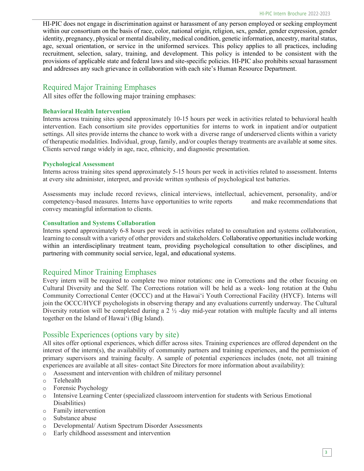HI-PIC does not engage in discrimination against or harassment of any person employed or seeking employment within our consortium on the basis of race, color, national origin, religion, sex, gender, gender expression, gender identity, pregnancy, physical or mental disability, medical condition, genetic information, ancestry, marital status, age, sexual orientation, or service in the uniformed services. This policy applies to all practices, including recruitment, selection, salary, training, and development. This policy is intended to be consistent with the provisions of applicable state and federal laws and site-specific policies. HI-PIC also prohibits sexual harassment and addresses any such grievance in collaboration with each site's Human Resource Department.

### Required Major Training Emphases

All sites offer the following major training emphases:

#### **Behavioral Health Intervention**

Interns across training sites spend approximately 10-15 hours per week in activities related to behavioral health intervention. Each consortium site provides opportunities for interns to work in inpatient and/or outpatient settings. All sites provide interns the chance to work with a diverse range of underserved clients within a variety of therapeutic modalities. Individual, group, family, and/or couples therapy treatments are available at some sites. Clients served range widely in age, race, ethnicity, and diagnostic presentation.

#### **Psychological Assessment**

Interns across training sites spend approximately 5-15 hours per week in activities related to assessment. Interns at every site administer, interpret, and provide written synthesis of psychological test batteries.

Assessments may include record reviews, clinical interviews, intellectual, achievement, personality, and/or competency-based measures. Interns have opportunities to write reports and make recommendations that convey meaningful information to clients.

#### **Consultation and Systems Collaboration**

Interns spend approximately 6-8 hours per week in activities related to consultation and systems collaboration, learning to consult with a variety of other providers and stakeholders. Collaborative opportunities include working within an interdisciplinary treatment team, providing psychological consultation to other disciplines, and partnering with community social service, legal, and educational systems.

#### Required Minor Training Emphases

Every intern will be required to complete two minor rotations: one in Corrections and the other focusing on Cultural Diversity and the Self. The Corrections rotation will be held as a week- long rotation at the Oahu Community Correctional Center (OCCC) and at the Hawai'i Youth Correctional Facility (HYCF). Interns will join the OCCC/HYCF psychologists in observing therapy and any evaluations currently underway. The Cultural Diversity rotation will be completed during a 2 ½ -day mid-year rotation with multiple faculty and all interns together on the Island of Hawai'i (Big Island).

#### Possible Experiences (options vary by site)

All sites offer optional experiences, which differ across sites. Training experiences are offered dependent on the interest of the intern(s), the availability of community partners and training experiences, and the permission of primary supervisors and training faculty. A sample of potential experiences includes (note, not all training experiences are available at all sites- contact Site Directors for more information about availability):

- o Assessment and intervention with children of military personnel
- o Telehealth
- o Forensic Psychology
- o Intensive Learning Center (specialized classroom intervention for students with Serious Emotional Disabilities)
- o Family intervention
- o Substance abuse
- o Developmental/ Autism Spectrum Disorder Assessments
- o Early childhood assessment and intervention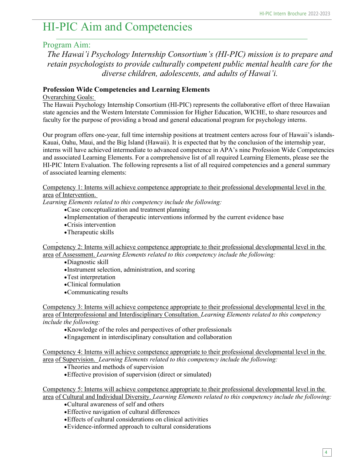# HI-PIC Aim and Competencies

### Program Aim:

*The Hawai'i Psychology Internship Consortium's (HI-PIC) mission is to prepare and retain psychologists to provide culturally competent public mental health care for the diverse children, adolescents, and adults of Hawai'i.*

#### **Profession Wide Competencies and Learning Elements**

#### Overarching Goals:

The Hawaii Psychology Internship Consortium (HI-PIC) represents the collaborative effort of three Hawaiian state agencies and the Western Interstate Commission for Higher Education, WICHE, to share resources and faculty for the purpose of providing a broad and general educational program for psychology interns.

Our program offers one-year, full time internship positions at treatment centers across four of Hawaii's islands-Kauai, Oahu, Maui, and the Big Island (Hawaii). It is expected that by the conclusion of the internship year, interns will have achieved intermediate to advanced competence in APA's nine Profession Wide Competencies and associated Learning Elements. For a comprehensive list of all required Learning Elements, please see the HI-PIC Intern Evaluation. The following represents a list of all required competencies and a general summary of associated learning elements:

Competency 1: Interns will achieve competence appropriate to their professional developmental level in the area of Intervention.

*Learning Elements related to this competency include the following:* 

- •Case conceptualization and treatment planning
- •Implementation of therapeutic interventions informed by the current evidence base
- •Crisis intervention
- •Therapeutic skills

Competency 2: Interns will achieve competence appropriate to their professional developmental level in the area of Assessment. *Learning Elements related to this competency include the following:* 

- •Diagnostic skill
- •Instrument selection, administration, and scoring
- •Test interpretation
- •Clinical formulation
- •Communicating results

Competency 3: Interns will achieve competence appropriate to their professional developmental level in the area of Interprofessional and Interdisciplinary Consultation. *Learning Elements related to this competency include the following:* 

- •Knowledge of the roles and perspectives of other professionals
- •Engagement in interdisciplinary consultation and collaboration

Competency 4: Interns will achieve competence appropriate to their professional developmental level in the area of Supervision. *Learning Elements related to this competency include the following:* 

- •Theories and methods of supervision
- •Effective provision of supervision (direct or simulated)

Competency 5: Interns will achieve competence appropriate to their professional developmental level in the area of Cultural and Individual Diversity. *Learning Elements related to this competency include the following:* 

- •Cultural awareness of self and others
- •Effective navigation of cultural differences
- •Effects of cultural considerations on clinical activities
- •Evidence-informed approach to cultural considerations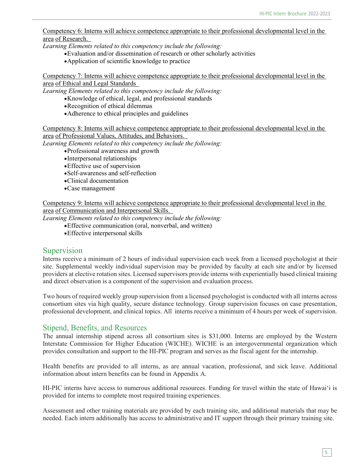Competency 6: Interns will achieve competence appropriate to their professional developmental level in the area of Research.

*Learning Elements related to this competency include the following:* 

- •Evaluation and/or dissemination of research or other scholarly activities
- •Application of scientific knowledge to practice

Competency 7: Interns will achieve competence appropriate to their professional developmental level in the area of Ethical and Legal Standards

*Learning Elements related to this competency include the following:* 

- •Knowledge of ethical, legal, and professional standards
- •Recognition of ethical dilemmas
- •Adherence to ethical principles and guidelines

Competency 8: Interns will achieve competence appropriate to their professional developmental level in the area of Professional Values, Attitudes, and Behaviors.

*Learning Elements related to this competency include the following:* 

- •Professional awareness and growth
- •Interpersonal relationships
- •Effective use of supervision
- •Self-awareness and self-reflection
- •Clinical documentation
- •Case management

Competency 9: Interns will achieve competence appropriate to their professional developmental level in the area of Communication and Interpersonal Skills.

*Learning Elements related to this competency include the following:* 

- •Effective communication (oral, nonverbal, and written)
- •Effective interpersonal skills

#### Supervision

Interns receive a minimum of 2 hours of individual supervision each week from a licensed psychologist at their site. Supplemental weekly individual supervision may be provided by faculty at each site and/or by licensed providers at elective rotation sites. Licensed supervisors provide interns with experientially based clinical training and direct observation is a component of the supervision and evaluation process.

Two hours of required weekly group supervision from a licensed psychologist is conducted with all interns across consortium sites via high quality, secure distance technology. Group supervision focuses on case presentation, professional development, and clinical topics. All interns receive a minimum of 4 hours per week of supervision.

#### Stipend, Benefits, and Resources

The annual internship stipend across all consortium sites is \$31,000. Interns are employed by the Western Interstate Commission for Higher Education (WICHE). WICHE is an intergovernmental organization which provides consultation and support to the HI-PIC program and serves as the fiscal agent for the internship.

Health benefits are provided to all interns, as are annual vacation, professional, and sick leave. Additional information about intern benefits can be found in Appendix A.

HI-PIC interns have access to numerous additional resources. Funding for travel within the state of Hawai'i is provided for interns to complete most required training experiences.

Assessment and other training materials are provided by each training site, and additional materials that may be needed. Each intern additionally has access to administrative and IT support through their primary training site.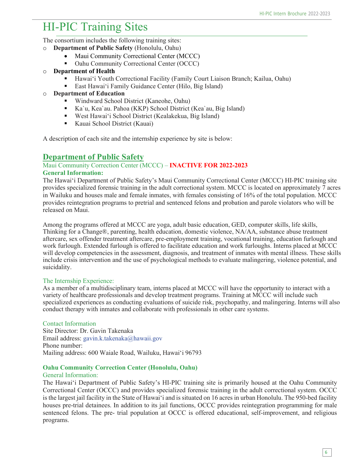# HI-PIC Training Sites

The consortium includes the following training sites:

- o **Department of Public Safety** (Honolulu, Oahu)
	- Maui Community Correctional Center (MCCC)
	- Oahu Community Correctional Center (OCCC)
- o **Department of Health**
	- Hawai'i Youth Correctional Facility (Family Court Liaison Branch; Kailua, Oahu)
	- East Hawai'i Family Guidance Center (Hilo, Big Island)
- o **Department of Education**
	- Windward School District (Kaneohe, Oahu)
	- Ka`u, Kea`au. Pahoa (KKP) School District (Kea`au, Big Island)
	- West Hawai'i School District (Kealakekua, Big Island)
	- Kauai School District (Kauai)

A description of each site and the internship experience by site is below:

### **Department of Public Safety**

### Maui Community Correction Center (MCCC) – **INACTIVE FOR 2022-2023**

#### **General Information:**

The Hawai'i Department of Public Safety's Maui Community Correctional Center (MCCC) HI-PIC training site provides specialized forensic training in the adult correctional system. MCCC is located on approximately 7 acres in Wailuku and houses male and female inmates, with females consisting of 16% of the total population. MCCC provides reintegration programs to pretrial and sentenced felons and probation and parole violators who will be released on Maui.

Among the programs offered at MCCC are yoga, adult basic education, GED, computer skills, life skills, Thinking for a Change®, parenting, health education, domestic violence, NA/AA, substance abuse treatment aftercare, sex offender treatment aftercare, pre-employment training, vocational training, education furlough and work furlough. Extended furlough is offered to facilitate education and work furloughs. Interns placed at MCCC will develop competencies in the assessment, diagnosis, and treatment of inmates with mental illness. These skills include crisis intervention and the use of psychological methods to evaluate malingering, violence potential, and suicidality.

#### The Internship Experience:

As a member of a multidisciplinary team, interns placed at MCCC will have the opportunity to interact with a variety of healthcare professionals and develop treatment programs. Training at MCCC will include such specialized experiences as conducting evaluations of suicide risk, psychopathy, and malingering. Interns will also conduct therapy with inmates and collaborate with professionals in other care systems.

#### Contact Information

Site Director: Dr. Gavin Takenaka Email address: [gavin.k.takenaka@hawaii.gov](mailto:gavin.k.takenaka@hawaii.gov) Phone number: Mailing address: 600 Waiale Road, Wailuku, Hawai'i 96793

#### **Oahu Community Correction Center (Honolulu, Oahu)**

#### General Information:

The Hawai'i Department of Public Safety's HI-PIC training site is primarily housed at the Oahu Community Correctional Center (OCCC) and provides specialized forensic training in the adult correctional system. OCCC is the largest jail facility in the State of Hawai'i and is situated on 16 acres in urban Honolulu. The 950-bed facility houses pre-trial detainees. In addition to its jail functions, OCCC provides reintegration programming for male sentenced felons. The pre- trial population at OCCC is offered educational, self-improvement, and religious programs.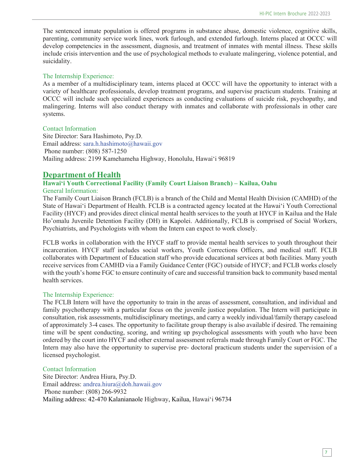The sentenced inmate population is offered programs in substance abuse, domestic violence, cognitive skills, parenting, community service work lines, work furlough, and extended furlough. Interns placed at OCCC will develop competencies in the assessment, diagnosis, and treatment of inmates with mental illness. These skills include crisis intervention and the use of psychological methods to evaluate malingering, violence potential, and suicidality.

#### The Internship Experience:

As a member of a multidisciplinary team, interns placed at OCCC will have the opportunity to interact with a variety of healthcare professionals, develop treatment programs, and supervise practicum students. Training at OCCC will include such specialized experiences as conducting evaluations of suicide risk, psychopathy, and malingering. Interns will also conduct therapy with inmates and collaborate with professionals in other care systems.

#### Contact Information

Site Director: Sara Hashimoto, Psy.D. Email address: [sara.h.hashimoto@hawaii.gov](mailto:sara.h.hashimoto@hawaii.gov) Phone number: (808) 587-1250 Mailing address: 2199 Kamehameha Highway, Honolulu, Hawai'i 96819

### **Department of Health**

### **Hawai'i Youth Correctional Facility (Family Court Liaison Branch) – Kailua, Oahu**

General Information:

The Family Court Liaison Branch (FCLB) is a branch of the Child and Mental Health Division (CAMHD) of the State of Hawai'i Department of Health. FCLB is a contracted agency located at the Hawai'i Youth Correctional Facility (HYCF) and provides direct clinical mental health services to the youth at HYCF in Kailua and the Hale Ho'omalu Juvenile Detention Facility (DH) in Kapolei. Additionally, FCLB is comprised of Social Workers, Psychiatrists, and Psychologists with whom the Intern can expect to work closely.

FCLB works in collaboration with the HYCF staff to provide mental health services to youth throughout their incarceration. HYCF staff includes social workers, Youth Corrections Officers, and medical staff. FCLB collaborates with Department of Education staff who provide educational services at both facilities. Many youth receive services from CAMHD via a Family Guidance Center (FGC) outside of HYCF; and FCLB works closely with the youth's home FGC to ensure continuity of care and successful transition back to community based mental health services.

#### The Internship Experience:

The FCLB Intern will have the opportunity to train in the areas of assessment, consultation, and individual and family psychotherapy with a particular focus on the juvenile justice population. The Intern will participate in consultation, risk assessments, multidisciplinary meetings, and carry a weekly individual/family therapy caseload of approximately 3-4 cases. The opportunity to facilitate group therapy is also available if desired. The remaining time will be spent conducting, scoring, and writing up psychological assessments with youth who have been ordered by the court into HYCF and other external assessment referrals made through Family Court or FGC. The Intern may also have the opportunity to supervise pre- doctoral practicum students under the supervision of a licensed psychologist.

#### Contact Information

Site Director: Andrea Hiura, Psy.D. Email address: [andrea.hiura@doh.hawaii.gov](mailto:andrea.hiura@doh.hawaii.gov)  Phone number: (808) 266-9932 Mailing address: 42-470 Kalanianaole Highway, Kailua, Hawai'i 96734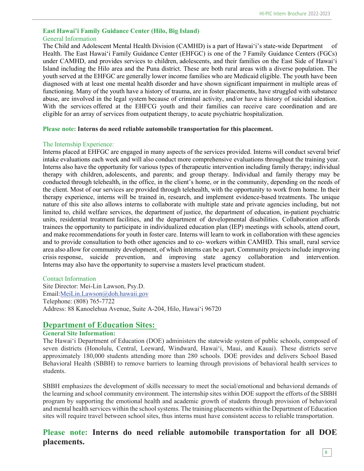#### **East Hawai'i Family Guidance Center (Hilo, Big Island)** General Information

The Child and Adolescent Mental Health Division (CAMHD) is a part of Hawai'i's state-wide Department of Health. The East Hawai'i Family Guidance Center (EHFGC) is one of the 7 Family Guidance Centers (FGCs) under CAMHD, and provides services to children, adolescents, and their families on the East Side of Hawai'i Island including the Hilo area and the Puna district. These are both rural areas with a diverse population. The youth served at the EHFGC are generally lower income families who are Medicaid eligible. The youth have been diagnosed with at least one mental health disorder and have shown significant impairment in multiple areas of functioning. Many of the youth have a history of trauma, are in foster placements, have struggled with substance abuse, are involved in the legal system because of criminal activity, and/or have a history of suicidal ideation. With the services offered at the EHFCG youth and their families can receive care coordination and are eligible for an array of services from outpatient therapy, to acute psychiatric hospitalization.

#### **Please note: Interns do need reliable automobile transportation for this placement.**

#### The Internship Experience:

Interns placed at EHFGC are engaged in many aspects of the services provided. Interns will conduct several brief intake evaluations each week and will also conduct more comprehensive evaluations throughout the training year. Interns also have the opportunity for various types of therapeutic intervention including family therapy; individual therapy with children, adolescents, and parents; and group therapy. Individual and family therapy may be conducted through telehealth, in the office, in the client's home, or in the community, depending on the needs of the client. Most of our services are provided through telehealth, with the opportunity to work from home. In their therapy experience, interns will be trained in, research, and implement evidence-based treatments. The unique nature of this site also allows interns to collaborate with multiple state and private agencies including, but not limited to, child welfare services, the department of justice, the department of education, in-patient psychiatric units, residential treatment facilities, and the department of developmental disabilities. Collaboration affords trainees the opportunity to participate in individualized education plan (IEP) meetings with schools, attend court, and make recommendations for youth in foster care. Interns will learn to work in collaboration with these agencies and to provide consultation to both other agencies and to co- workers within CAMHD. This small, rural service area also allow for community development, of which interns can be a part. Community projects include improving crisis response, suicide prevention, and improving state agency collaboration and intervention. Interns may also have the opportunity to supervise a masters level practicum student.

#### Contact Information

Site Director: Mei-Lin Lawson, Psy.D. Email[:MeiLin.Lawson@doh.hawaii.gov](mailto:MeiLin.Lawson@doh.hawaii.gov)  Telephone: (808) 765-7722 Address: 88 Kanoelehua Avenue, Suite A-204, Hilo, Hawai'i 96720

#### **Department of Education Sites:**

#### **General Site Information:**

The Hawai'i Department of Education (DOE) administers the statewide system of public schools, composed of seven districts (Honolulu, Central, Leeward, Windward, Hawai'i, Maui, and Kauai). These districts serve approximately 180,000 students attending more than 280 schools. DOE provides and delivers School Based Behavioral Health (SBBH) to remove barriers to learning through provisions of behavioral health services to students.

SBBH emphasizes the development of skills necessary to meet the social/emotional and behavioral demands of the learning and school community environment. The internship sites within DOE support the efforts of the SBBH program by supporting the emotional health and academic growth of students through provision of behavioral and mental health services within the school systems. The training placements within the Department of Education sites will require travel between school sites, thus interns must have consistent access to reliable transportation.

### **Please note: Interns do need reliable automobile transportation for all DOE placements.**

8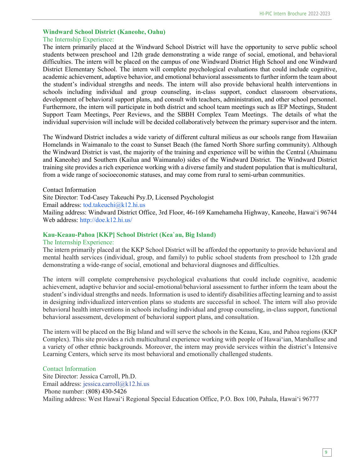#### **Windward School District (Kaneohe, Oahu)**  The Internship Experience:

The intern primarily placed at the Windward School District will have the opportunity to serve public school students between preschool and 12th grade demonstrating a wide range of social, emotional, and behavioral difficulties. The intern will be placed on the campus of one Windward District High School and one Windward District Elementary School. The intern will complete psychological evaluations that could include cognitive, academic achievement, adaptive behavior, and emotional behavioral assessments to further inform the team about the student's individual strengths and needs. The intern will also provide behavioral health interventions in schools including individual and group counseling, in-class support, conduct classroom observations, development of behavioral support plans, and consult with teachers, administration, and other school personnel. Furthermore, the intern will participate in both district and school team meetings such as IEP Meetings, Student Support Team Meetings, Peer Reviews, and the SBBH Complex Team Meetings. The details of what the individual supervision will include will be decided collaboratively between the primary supervisor and the intern.

The Windward District includes a wide variety of different cultural milieus as our schools range from Hawaiian Homelands in Waimanalo to the coast to Sunset Beach (the famed North Shore surfing community). Although the Windward District is vast, the majority of the training and experience will be within the Central (Ahuimanu and Kaneohe) and Southern (Kailua and Waimanalo) sides of the Windward District. The Windward District training site provides a rich experience working with a diverse family and student population that is multicultural, from a wide range of socioeconomic statuses, and may come from rural to semi-urban communities.

Contact Information Site Director: Tod-Casey Takeuchi Psy.D, Licensed Psychologist Email address: [tod.takeuchi@k12.hi.us](mailto:tod.takeuchi@k12.hi.us) Mailing address: Windward District Office, 3rd Floor, 46-169 Kamehameha Highway, Kaneohe, Hawai'i 96744 Web address:<http://doe.k12.hi.us/>

#### **Kau-Keaau-Pahoa [KKP] School District (Kea`au, Big Island)**

#### The Internship Experience:

The intern primarily placed at the KKP School District will be afforded the opportunity to provide behavioral and mental health services (individual, group, and family) to public school students from preschool to 12th grade demonstrating a wide-range of social, emotional and behavioral diagnoses and difficulties.

The intern will complete comprehensive psychological evaluations that could include cognitive, academic achievement, adaptive behavior and social-emotional/behavioral assessment to further inform the team about the student's individual strengths and needs. Information is used to identify disabilities affecting learning and to assist in designing individualized intervention plans so students are successful in school. The intern will also provide behavioral health interventions in schools including individual and group counseling, in-class support, functional behavioral assessment, development of behavioral support plans, and consultation.

The intern will be placed on the Big Island and will serve the schools in the Keaau, Kau, and Pahoa regions (KKP Complex). This site provides a rich multicultural experience working with people of Hawai'ian, Marshallese and a variety of other ethnic backgrounds. Moreover, the intern may provide services within the district's Intensive Learning Centers, which serve its most behavioral and emotionally challenged students.

#### Contact Information

Site Director: Jessica Carroll, Ph.D. Email address: [jessica.carroll@k12.hi.us](mailto:jessica.carroll@k12.hi.us)  Phone number: (808) 430-5426 Mailing address: West Hawai'i Regional Special Education Office, P.O. Box 100, Pahala, Hawai'i 96777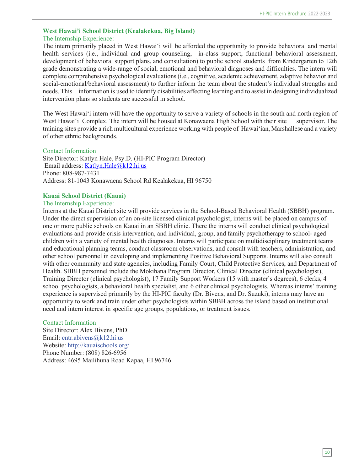#### **West Hawai'i School District (Kealakekua, Big Island)** The Internship Experience:

The intern primarily placed in West Hawai'i will be afforded the opportunity to provide behavioral and mental health services (i.e., individual and group counseling, in-class support, functional behavioral assessment, development of behavioral support plans, and consultation) to public school students from Kindergarten to 12th grade demonstrating a wide-range of social, emotional and behavioral diagnoses and difficulties. The intern will complete comprehensive psychological evaluations (i.e., cognitive, academic achievement, adaptive behavior and social-emotional/behavioral assessment) to further inform the team about the student's individual strengths and needs. This information is used to identify disabilities affecting learning and to assist in designing individualized intervention plans so students are successful in school.

The West Hawai'i intern will have the opportunity to serve a variety of schools in the south and north region of West Hawai'i Complex. The intern will be housed at Konawaena High School with their site supervisor. The training sites provide a rich multicultural experience working with people of Hawai'ian, Marshallese and a variety of other ethnic backgrounds.

#### Contact Information

Site Director: Katlyn Hale, Psy.D. (HI-PIC Program Director) Email address: [Katlyn.Hale@k12.hi.us](mailto:Katlyn.Hale@k12.hi.us) Phone: 808-987-7431 Address: 81-1043 Konawaena School Rd Kealakekua, HI 96750

#### **Kauai School District (Kauai)**

#### The Internship Experience:

Interns at the Kauai District site will provide services in the School-Based Behavioral Health (SBBH) program. Under the direct supervision of an on-site licensed clinical psychologist, interns will be placed on campus of one or more public schools on Kauai in an SBBH clinic. There the interns will conduct clinical psychological evaluations and provide crisis intervention, and individual, group, and family psychotherapy to school- aged children with a variety of mental health diagnoses. Interns will participate on multidisciplinary treatment teams and educational planning teams, conduct classroom observations, and consult with teachers, administration, and other school personnel in developing and implementing Positive Behavioral Supports. Interns will also consult with other community and state agencies, including Family Court, Child Protective Services, and Department of Health. SBBH personnel include the Mokihana Program Director, Clinical Director (clinical psychologist), Training Director (clinical psychologist), 17 Family Support Workers (15 with master's degrees), 6 clerks, 4 school psychologists, a behavioral health specialist, and 6 other clinical psychologists. Whereas interns' training experience is supervised primarily by the HI-PIC faculty (Dr. Bivens, and Dr. Suzuki), interns may have an opportunity to work and train under other psychologists within SBBH across the island based on institutional need and intern interest in specific age groups, populations, or treatment issues.

Contact Information Site Director: Alex Bivens, PhD. Email: [cntr.abivens@k12.hi.us](mailto:cntr.abivens@k12.hi.us)  Website:<http://kauaischools.org/> Phone Number: (808) 826-6956 Address: 4695 Mailihuna Road Kapaa, HI 96746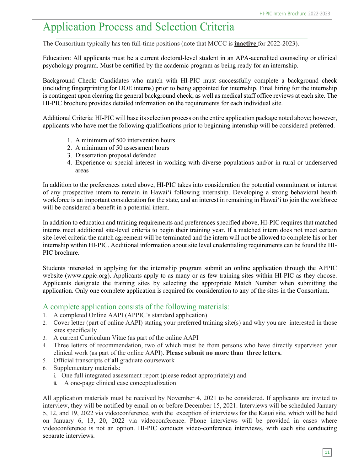# Application Process and Selection Criteria

The Consortium typically has ten full-time positions (note that MCCC is **inactive** for 2022-2023).

Education: All applicants must be a current doctoral-level student in an APA-accredited counseling or clinical psychology program. Must be certified by the academic program as being ready for an internship.

Background Check: Candidates who match with HI-PIC must successfully complete a background check (including fingerprinting for DOE interns) prior to being appointed for internship. Final hiring for the internship is contingent upon clearing the general background check, as well as medical staff office reviews at each site. The HI-PIC brochure provides detailed information on the requirements for each individual site.

Additional Criteria: HI-PIC will base its selection process on the entire application package noted above; however, applicants who have met the following qualifications prior to beginning internship will be considered preferred.

- 1. A minimum of 500 intervention hours
- 2. A minimum of 50 assessment hours
- 3. Dissertation proposal defended
- 4. Experience or special interest in working with diverse populations and/or in rural or underserved areas

In addition to the preferences noted above, HI-PIC takes into consideration the potential commitment or interest of any prospective intern to remain in Hawai'i following internship. Developing a strong behavioral health workforce is an important consideration for the state, and an interest in remaining in Hawai'i to join the workforce will be considered a benefit in a potential intern.

In addition to education and training requirements and preferences specified above, HI-PIC requires that matched interns meet additional site-level criteria to begin their training year. If a matched intern does not meet certain site-level criteria the match agreement will be terminated and the intern will not be allowed to complete his or her internship within HI-PIC. Additional information about site level credentialing requirements can be found the HI-PIC brochure.

Students interested in applying for the internship program submit an online application through the APPIC website (www.appic.org). Applicants apply to as many or as few training sites within HI-PIC as they choose. Applicants designate the training sites by selecting the appropriate Match Number when submitting the application. Only one complete application is required for consideration to any of the sites in the Consortium.

#### A complete application consists of the following materials:

- 1. A completed Online AAPI (APPIC's standard application)
- 2. Cover letter (part of online AAPI) stating your preferred training site(s) and why you are interested in those sites specifically
- 3. A current Curriculum Vitae (as part of the online AAPI
- 4. Three letters of recommendation, two of which must be from persons who have directly supervised your clinical work (as part of the online AAPI). **Please submit no more than three letters.**
- 5. Official transcripts of **all** graduate coursework
- 6. Supplementary materials:
	- i. One full integrated assessment report (please redact appropriately) and
	- ii. A one-page clinical case conceptualization

All application materials must be received by November 4, 2021 to be considered. If applicants are invited to interview, they will be notified by email on or before December 15, 2021. Interviews will be scheduled January 5, 12, and 19, 2022 via videoconference, with the exception of interviews for the Kauai site, which will be held on January 6, 13, 20, 2022 via videoconference. Phone interviews will be provided in cases where videoconference is not an option. HI-PIC conducts video-conference interviews, with each site conducting separate interviews.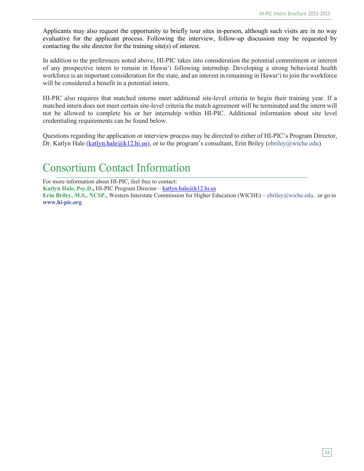Applicants may also request the opportunity to briefly tour sites in-person, although such visits are in no way evaluative for the applicant process. Following the interview, follow-up discussion may be requested by contacting the site director for the training site(s) of interest.

In addition to the preferences noted above, HI-PIC takes into consideration the potential commitment or interest of any prospective intern to remain in Hawai'i following internship. Developing a strong behavioral health workforce is an important consideration for the state, and an interest in remaining in Hawai'i to join the workforce will be considered a benefit in a potential intern.

HI-PIC also requires that matched interns meet additional site-level criteria to begin their training year. If a matched intern does not meet certain site-level criteria the match agreement will be terminated and the intern will not be allowed to complete his or her internship within HI-PIC. Additional information about site level credentialing requirements can be found below.

Questions regarding the application or interview process may be directed to either of HI-PIC's Program Director, Dr. Katlyn Hale (katlyn.hale @k12.hi.us), or to the program's consultant, Erin Briley (ebriley @wiche.edu)

# Consortium Contact Information

For more information about HI-PIC, feel free to contact: Katlyn Hale, Psy.D., HI-PIC Program Director – [katlyn.hale@k12.hi.us](mailto:katlyn.hale@k12.hi.us) **Erin Briley, M.S., NCSP.**, Western Interstate Commission for Higher Education (WICHE) – [ebriley@wiche.edu,](mailto:ebriley@wiche.edu,) or go to **[www.hi-pic.org](http://www.hi-pic.org/)**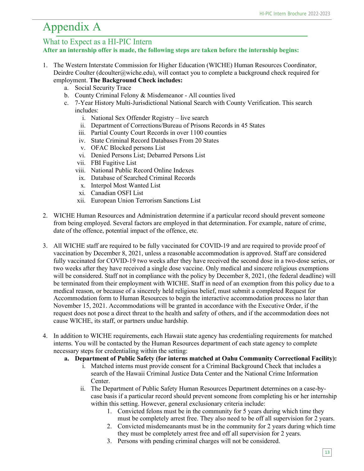# Appendix A

#### What to Expect as a HI-PIC Intern

**After an internship offer is made, the following steps are taken before the internship begins:**

- 1. The Western Interstate Commission for Higher Education (WICHE) Human Resources Coordinator, Deirdre Coulter (dcoulter@wiche.edu), will contact you to complete a background check required for employment. **The Background Check includes:**
	- a. Social Security Trace
	- b. County Criminal Felony & Misdemeanor All counties lived
	- c. 7-Year History Multi-Jurisdictional National Search with County Verification. This search includes:
		- i. National Sex Offender Registry live search
		- ii. Department of Corrections/Bureau of Prisons Records in 45 States
		- iii. Partial County Court Records in over 1100 counties
		- iv. State Criminal Record Databases From 20 States
		- v. OFAC Blocked persons List
		- vi. Denied Persons List; Debarred Persons List
		- vii. FBI Fugitive List
		- viii. National Public Record Online Indexes
		- ix. Database of Searched Criminal Records
		- x. Interpol Most Wanted List
		- xi. Canadian OSFI List
		- xii. European Union Terrorism Sanctions List
- 2. WICHE Human Resources and Administration determine if a particular record should prevent someone from being employed. Several factors are employed in that determination. For example, nature of crime, date of the offence, potential impact of the offence, etc.
- 3. All WICHE staff are required to be fully vaccinated for COVID-19 and are required to provide proof of vaccination by December 8, 2021, unless a reasonable accommodation is approved. Staff are considered fully vaccinated for COVID-19 two weeks after they have received the second dose in a two-dose series, or two weeks after they have received a single dose vaccine. Only medical and sincere religious exemptions will be considered. Staff not in compliance with the policy by December 8, 2021, (the federal deadline) will be terminated from their employment with WICHE. Staff in need of an exemption from this policy due to a medical reason, or because of a sincerely held religious belief, must submit a completed Request for Accommodation form to Human Resources to begin the interactive accommodation process no later than November 15, 2021. Accommodations will be granted in accordance with the Executive Order, if the request does not pose a direct threat to the health and safety of others, and if the accommodation does not cause WICHE, its staff, or partners undue hardship.
- 4. In addition to WICHE requirements, each Hawaii state agency has credentialing requirements for matched interns. You will be contacted by the Human Resources department of each state agency to complete necessary steps for credentialing within the setting:
	- **a. Department of Public Safety (for interns matched at Oahu Community Correctional Facility):**
		- i. Matched interns must provide consent for a Criminal Background Check that includes a search of the Hawaii Criminal Justice Data Center and the National Crime Information Center.
		- ii. The Department of Public Safety Human Resources Department determines on a case-bycase basis if a particular record should prevent someone from completing his or her internship within this setting. However, general exclusionary criteria include:
			- 1. Convicted felons must be in the community for 5 years during which time they must be completely arrest free. They also need to be off all supervision for 2 years.
			- 2. Convicted misdemeanants must be in the community for 2 years during which time they must be completely arrest free and off all supervision for 2 years.
			- 3. Persons with pending criminal charges will not be considered.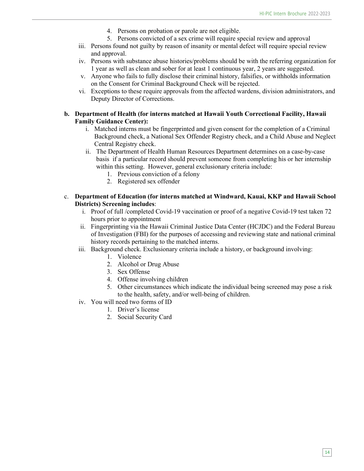- 4. Persons on probation or parole are not eligible.
- 5. Persons convicted of a sex crime will require special review and approval
- iii. Persons found not guilty by reason of insanity or mental defect will require special review and approval.
- iv. Persons with substance abuse histories/problems should be with the referring organization for 1 year as well as clean and sober for at least 1 continuous year, 2 years are suggested.
- v. Anyone who fails to fully disclose their criminal history, falsifies, or withholds information on the Consent for Criminal Background Check will be rejected.
- vi. Exceptions to these require approvals from the affected wardens, division administrators, and Deputy Director of Corrections.

#### **b. Department of Health (for interns matched at Hawaii Youth Correctional Facility, Hawaii Family Guidance Center):**

- i. Matched interns must be fingerprinted and given consent for the completion of a Criminal Background check, a National Sex Offender Registry check, and a Child Abuse and Neglect Central Registry check.
- ii. The Department of Health Human Resources Department determines on a case-by-case basis if a particular record should prevent someone from completing his or her internship within this setting. However, general exclusionary criteria include:
	- 1. Previous conviction of a felony
	- 2. Registered sex offender
- c. **Department of Education (for interns matched at Windward, Kauai, KKP and Hawaii School Districts) Screening includes**:
	- i. Proof of full /completed Covid-19 vaccination or proof of a negative Covid-19 test taken 72 hours prior to appointment
	- ii. Fingerprinting via the Hawaii Criminal Justice Data Center (HCJDC) and the Federal Bureau of Investigation (FBI) for the purposes of accessing and reviewing state and national criminal history records pertaining to the matched interns.
	- iii. Background check. Exclusionary criteria include a history, or background involving:
		- 1. Violence
		- 2. Alcohol or Drug Abuse
		- 3. Sex Offense
		- 4. Offense involving children
		- 5. Other circumstances which indicate the individual being screened may pose a risk to the health, safety, and/or well-being of children.
	- iv. You will need two forms of ID
		- 1. Driver's license
		- 2. Social Security Card